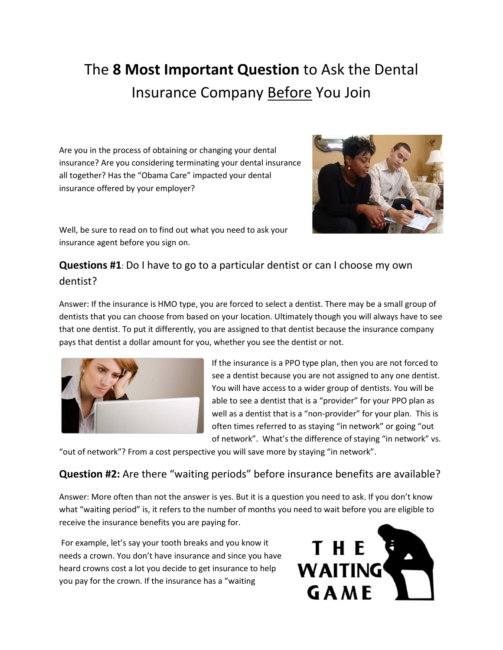# The **8 Most Important Question** to Ask the Dental Insurance Company Before You Join

Are you in the process of obtaining or changing your dental insurance? Are you considering terminating your dental insurance all together? Has the "Obama Care" impacted your dental insurance offered by your employer?



Well, be sure to read on to find out what you need to ask your insurance agent before you sign on.

## **Questions #1**: Do I have to go to a particular dentist or can I choose my own dentist?

Answer: If the insurance is HMO type, you are forced to select a dentist. There may be a small group of dentists that you can choose from based on your location. Ultimately though you will always have to see that one dentist. To put it differently, you are assigned to that dentist because the insurance company pays that dentist a dollar amount for you, whether you see the dentist or not.



If the insurance is a PPO type plan, then you are not forced to see a dentist because you are not assigned to any one dentist. You will have access to a wider group of dentists. You will be able to see a dentist that is a "provider" for your PPO plan as well as a dentist that is a "non-provider" for your plan. This is often times referred to as staying "in network" or going "out of network". What's the difference of staying "in network" vs.

"out of network"? From a cost perspective you will save more by staying "in network".

### **Question #2:** Are there "waiting periods" before insurance benefits are available?

Answer: More often than not the answer is yes. But it is a question you need to ask. If you don't know what "waiting period" is, it refers to the number of months you need to wait before you are eligible to receive the insurance benefits you are paying for.

For example, let's say your tooth breaks and you know it needs a crown. You don't have insurance and since you have heard crowns cost a lot you decide to get insurance to help you pay for the crown. If the insurance has a "waiting

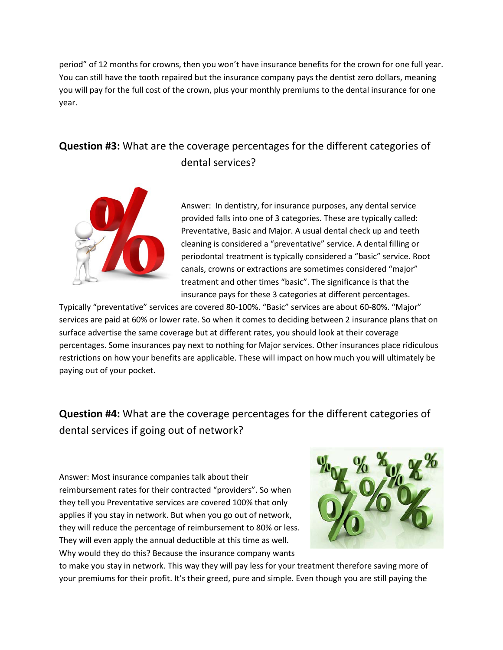period" of 12 months for crowns, then you won't have insurance benefits for the crown for one full year. You can still have the tooth repaired but the insurance company pays the dentist zero dollars, meaning you will pay for the full cost of the crown, plus your monthly premiums to the dental insurance for one year.

## **Question #3:** What are the coverage percentages for the different categories of dental services?



Answer: In dentistry, for insurance purposes, any dental service provided falls into one of 3 categories. These are typically called: Preventative, Basic and Major. A usual dental check up and teeth cleaning is considered a "preventative" service. A dental filling or periodontal treatment is typically considered a "basic" service. Root canals, crowns or extractions are sometimes considered "major" treatment and other times "basic". The significance is that the insurance pays for these 3 categories at different percentages.

Typically "preventative" services are covered 80-100%. "Basic" services are about 60-80%. "Major" services are paid at 60% or lower rate. So when it comes to deciding between 2 insurance plans that on surface advertise the same coverage but at different rates, you should look at their coverage percentages. Some insurances pay next to nothing for Major services. Other insurances place ridiculous restrictions on how your benefits are applicable. These will impact on how much you will ultimately be paying out of your pocket.

**Question #4:** What are the coverage percentages for the different categories of dental services if going out of network?

Answer: Most insurance companies talk about their reimbursement rates for their contracted "providers". So when they tell you Preventative services are covered 100% that only applies if you stay in network. But when you go out of network, they will reduce the percentage of reimbursement to 80% or less. They will even apply the annual deductible at this time as well. Why would they do this? Because the insurance company wants



to make you stay in network. This way they will pay less for your treatment therefore saving more of your premiums for their profit. It's their greed, pure and simple. Even though you are still paying the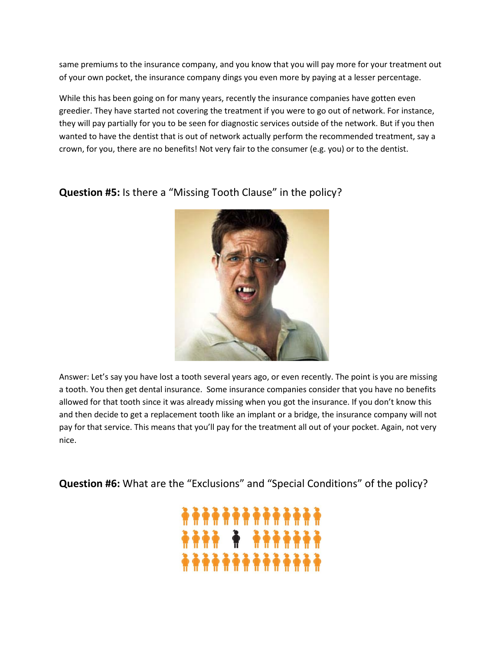same premiums to the insurance company, and you know that you will pay more for your treatment out of your own pocket, the insurance company dings you even more by paying at a lesser percentage.

While this has been going on for many years, recently the insurance companies have gotten even greedier. They have started not covering the treatment if you were to go out of network. For instance, they will pay partially for you to be seen for diagnostic services outside of the network. But if you then wanted to have the dentist that is out of network actually perform the recommended treatment, say a crown, for you, there are no benefits! Not very fair to the consumer (e.g. you) or to the dentist.





Answer: Let's say you have lost a tooth several years ago, or even recently. The point is you are missing a tooth. You then get dental insurance. Some insurance companies consider that you have no benefits allowed for that tooth since it was already missing when you got the insurance. If you don't know this and then decide to get a replacement tooth like an implant or a bridge, the insurance company will not pay for that service. This means that you'll pay for the treatment all out of your pocket. Again, not very nice.

**Question #6:** What are the "Exclusions" and "Special Conditions" of the policy?

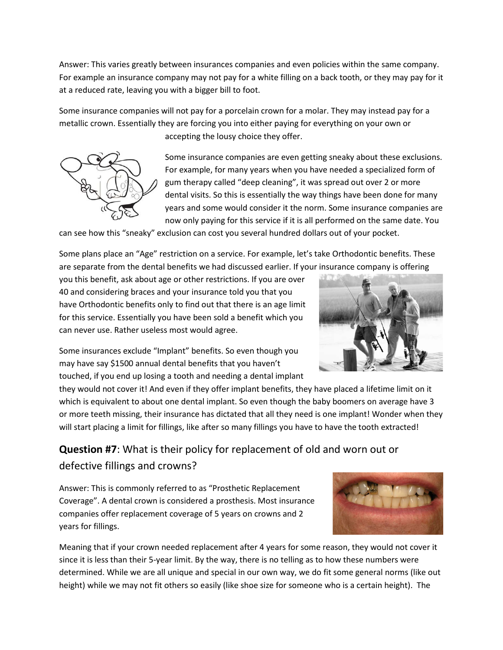Answer: This varies greatly between insurances companies and even policies within the same company. For example an insurance company may not pay for a white filling on a back tooth, or they may pay for it at a reduced rate, leaving you with a bigger bill to foot.

Some insurance companies will not pay for a porcelain crown for a molar. They may instead pay for a metallic crown. Essentially they are forcing you into either paying for everything on your own or accepting the lousy choice they offer.



Some insurance companies are even getting sneaky about these exclusions. For example, for many years when you have needed a specialized form of gum therapy called "deep cleaning", it was spread out over 2 or more dental visits. So this is essentially the way things have been done for many years and some would consider it the norm. Some insurance companies are now only paying for this service if it is all performed on the same date. You

can see how this "sneaky" exclusion can cost you several hundred dollars out of your pocket.

Some plans place an "Age" restriction on a service. For example, let's take Orthodontic benefits. These are separate from the dental benefits we had discussed earlier. If your insurance company is offering

you this benefit, ask about age or other restrictions. If you are over 40 and considering braces and your insurance told you that you have Orthodontic benefits only to find out that there is an age limit for this service. Essentially you have been sold a benefit which you can never use. Rather useless most would agree.



Some insurances exclude "Implant" benefits. So even though you may have say \$1500 annual dental benefits that you haven't touched, if you end up losing a tooth and needing a dental implant

they would not cover it! And even if they offer implant benefits, they have placed a lifetime limit on it which is equivalent to about one dental implant. So even though the baby boomers on average have 3 or more teeth missing, their insurance has dictated that all they need is one implant! Wonder when they will start placing a limit for fillings, like after so many fillings you have to have the tooth extracted!

## **Question #7**: What is their policy for replacement of old and worn out or defective fillings and crowns?

Answer: This is commonly referred to as "Prosthetic Replacement Coverage". A dental crown is considered a prosthesis. Most insurance companies offer replacement coverage of 5 years on crowns and 2 years for fillings.



Meaning that if your crown needed replacement after 4 years for some reason, they would not cover it since it is less than their 5-year limit. By the way, there is no telling as to how these numbers were determined. While we are all unique and special in our own way, we do fit some general norms (like out height) while we may not fit others so easily (like shoe size for someone who is a certain height). The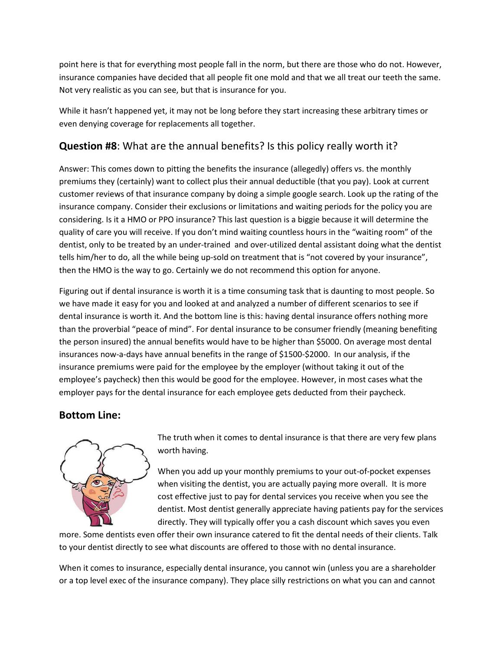point here is that for everything most people fall in the norm, but there are those who do not. However, insurance companies have decided that all people fit one mold and that we all treat our teeth the same. Not very realistic as you can see, but that is insurance for you.

While it hasn't happened yet, it may not be long before they start increasing these arbitrary times or even denying coverage for replacements all together.

#### **Question #8**: What are the annual benefits? Is this policy really worth it?

Answer: This comes down to pitting the benefits the insurance (allegedly) offers vs. the monthly premiums they (certainly) want to collect plus their annual deductible (that you pay). Look at current customer reviews of that insurance company by doing a simple google search. Look up the rating of the insurance company. Consider their exclusions or limitations and waiting periods for the policy you are considering. Is it a HMO or PPO insurance? This last question is a biggie because it will determine the quality of care you will receive. If you don't mind waiting countless hours in the "waiting room" of the dentist, only to be treated by an under-trained and over-utilized dental assistant doing what the dentist tells him/her to do, all the while being up-sold on treatment that is "not covered by your insurance", then the HMO is the way to go. Certainly we do not recommend this option for anyone.

Figuring out if dental insurance is worth it is a time consuming task that is daunting to most people. So we have made it easy for you and looked at and analyzed a number of different scenarios to see if dental insurance is worth it. And the bottom line is this: having dental insurance offers nothing more than the proverbial "peace of mind". For dental insurance to be consumer friendly (meaning benefiting the person insured) the annual benefits would have to be higher than \$5000. On average most dental insurances now-a-days have annual benefits in the range of \$1500-\$2000. In our analysis, if the insurance premiums were paid for the employee by the employer (without taking it out of the employee's paycheck) then this would be good for the employee. However, in most cases what the employer pays for the dental insurance for each employee gets deducted from their paycheck.

#### **Bottom Line:**



The truth when it comes to dental insurance is that there are very few plans worth having.

When you add up your monthly premiums to your out-of-pocket expenses when visiting the dentist, you are actually paying more overall. It is more cost effective just to pay for dental services you receive when you see the dentist. Most dentist generally appreciate having patients pay for the services directly. They will typically offer you a cash discount which saves you even

more. Some dentists even offer their own insurance catered to fit the dental needs of their clients. Talk to your dentist directly to see what discounts are offered to those with no dental insurance.

When it comes to insurance, especially dental insurance, you cannot win (unless you are a shareholder or a top level exec of the insurance company). They place silly restrictions on what you can and cannot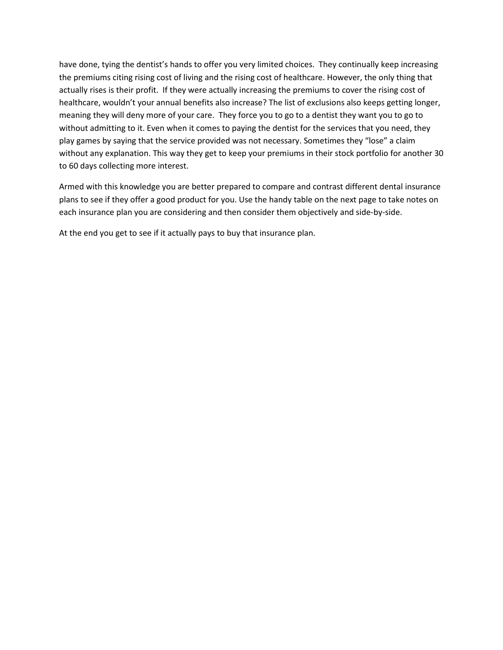have done, tying the dentist's hands to offer you very limited choices. They continually keep increasing the premiums citing rising cost of living and the rising cost of healthcare. However, the only thing that actually rises is their profit. If they were actually increasing the premiums to cover the rising cost of healthcare, wouldn't your annual benefits also increase? The list of exclusions also keeps getting longer, meaning they will deny more of your care. They force you to go to a dentist they want you to go to without admitting to it. Even when it comes to paying the dentist for the services that you need, they play games by saying that the service provided was not necessary. Sometimes they "lose" a claim without any explanation. This way they get to keep your premiums in their stock portfolio for another 30 to 60 days collecting more interest.

Armed with this knowledge you are better prepared to compare and contrast different dental insurance plans to see if they offer a good product for you. Use the handy table on the next page to take notes on each insurance plan you are considering and then consider them objectively and side-by-side.

At the end you get to see if it actually pays to buy that insurance plan.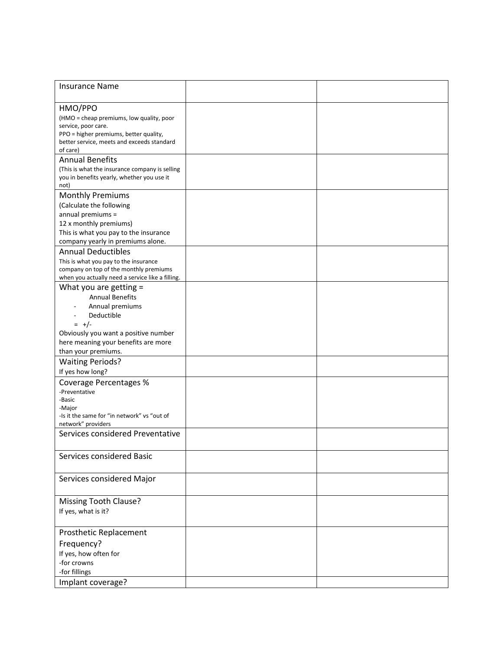| <b>Insurance Name</b>                            |  |
|--------------------------------------------------|--|
|                                                  |  |
| HMO/PPO                                          |  |
| (HMO = cheap premiums, low quality, poor         |  |
| service, poor care.                              |  |
| PPO = higher premiums, better quality,           |  |
| better service, meets and exceeds standard       |  |
| of care)                                         |  |
| <b>Annual Benefits</b>                           |  |
| (This is what the insurance company is selling   |  |
| you in benefits yearly, whether you use it       |  |
| not)                                             |  |
| <b>Monthly Premiums</b>                          |  |
| (Calculate the following                         |  |
| annual premiums =                                |  |
| 12 x monthly premiums)                           |  |
| This is what you pay to the insurance            |  |
| company yearly in premiums alone.                |  |
| <b>Annual Deductibles</b>                        |  |
| This is what you pay to the insurance            |  |
| company on top of the monthly premiums           |  |
| when you actually need a service like a filling. |  |
| What you are getting =                           |  |
| <b>Annual Benefits</b>                           |  |
| Annual premiums                                  |  |
| Deductible                                       |  |
| $= +/-$                                          |  |
| Obviously you want a positive number             |  |
| here meaning your benefits are more              |  |
| than your premiums.                              |  |
| <b>Waiting Periods?</b>                          |  |
| If yes how long?                                 |  |
| <b>Coverage Percentages %</b>                    |  |
| -Preventative                                    |  |
| -Basic                                           |  |
| -Major                                           |  |
| -Is it the same for "in network" vs "out of      |  |
| network" providers                               |  |
| Services considered Preventative                 |  |
|                                                  |  |
| Services considered Basic                        |  |
|                                                  |  |
|                                                  |  |
| Services considered Major                        |  |
|                                                  |  |
| Missing Tooth Clause?                            |  |
| If yes, what is it?                              |  |
|                                                  |  |
|                                                  |  |
| Prosthetic Replacement                           |  |
| Frequency?                                       |  |
| If yes, how often for                            |  |
| -for crowns                                      |  |
| -for fillings                                    |  |
| Implant coverage?                                |  |